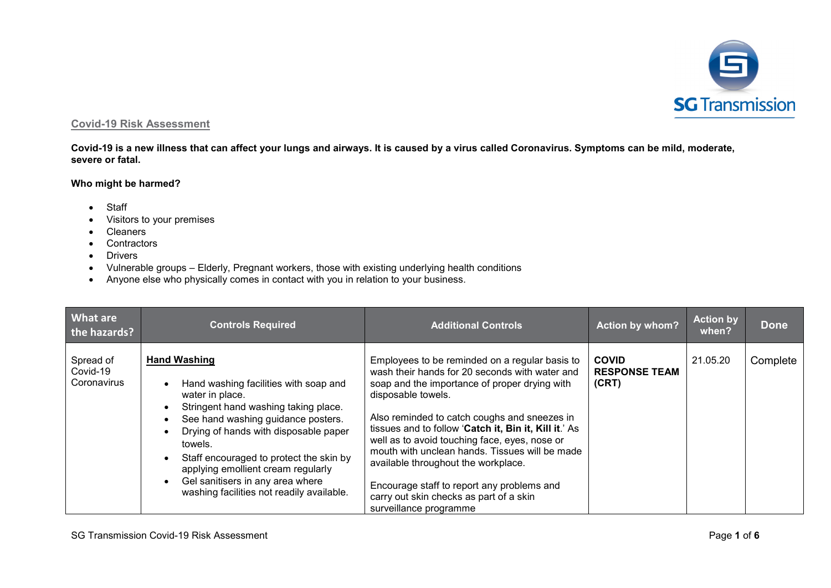

## **Covid-19 Risk Assessment**

**Covid-19 is a new illness that can affect your lungs and airways. It is caused by a virus called Coronavirus. Symptoms can be mild, moderate, severe or fatal.**

## **Who might be harmed?**

- Staff
- Visitors to your premises
- Cleaners
- Contractors
- Drivers
- Vulnerable groups Elderly, Pregnant workers, those with existing underlying health conditions
- Anyone else who physically comes in contact with you in relation to your business.

| What are<br>the hazards?             | <b>Controls Required</b>                                                                                                                                                                                                                                                                                                                                                                                                   | <b>Additional Controls</b>                                                                                                                                                                                                                                                                                                                                                                                                                                                                                                                    | <b>Action by whom?</b>                        | <b>Action by</b><br>when? | <b>Done</b> |
|--------------------------------------|----------------------------------------------------------------------------------------------------------------------------------------------------------------------------------------------------------------------------------------------------------------------------------------------------------------------------------------------------------------------------------------------------------------------------|-----------------------------------------------------------------------------------------------------------------------------------------------------------------------------------------------------------------------------------------------------------------------------------------------------------------------------------------------------------------------------------------------------------------------------------------------------------------------------------------------------------------------------------------------|-----------------------------------------------|---------------------------|-------------|
| Spread of<br>Covid-19<br>Coronavirus | <b>Hand Washing</b><br>Hand washing facilities with soap and<br>water in place.<br>Stringent hand washing taking place.<br>See hand washing guidance posters.<br>$\bullet$<br>Drying of hands with disposable paper<br>towels.<br>Staff encouraged to protect the skin by<br>$\bullet$<br>applying emollient cream regularly<br>Gel sanitisers in any area where<br>$\bullet$<br>washing facilities not readily available. | Employees to be reminded on a regular basis to<br>wash their hands for 20 seconds with water and<br>soap and the importance of proper drying with<br>disposable towels.<br>Also reminded to catch coughs and sneezes in<br>tissues and to follow 'Catch it, Bin it, Kill it.' As<br>well as to avoid touching face, eyes, nose or<br>mouth with unclean hands. Tissues will be made<br>available throughout the workplace.<br>Encourage staff to report any problems and<br>carry out skin checks as part of a skin<br>surveillance programme | <b>COVID</b><br><b>RESPONSE TEAM</b><br>(CRT) | 21.05.20                  | Complete    |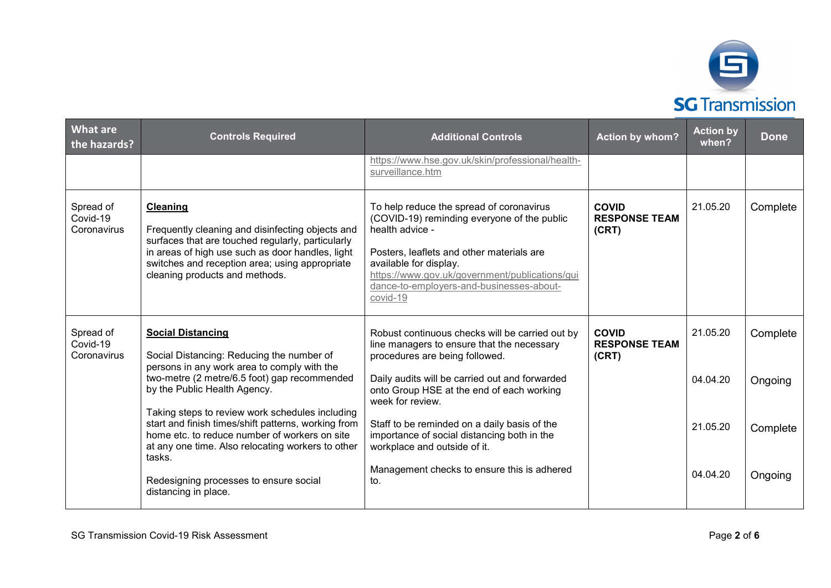

| <b>What are</b><br>the hazards?                                              | <b>Controls Required</b>                                                                                                                                                                                                                                         | <b>Additional Controls</b>                                                                                                                                                                                                                                                                  | <b>Action by whom?</b>                        | <b>Action by</b><br>when? | <b>Done</b> |
|------------------------------------------------------------------------------|------------------------------------------------------------------------------------------------------------------------------------------------------------------------------------------------------------------------------------------------------------------|---------------------------------------------------------------------------------------------------------------------------------------------------------------------------------------------------------------------------------------------------------------------------------------------|-----------------------------------------------|---------------------------|-------------|
|                                                                              |                                                                                                                                                                                                                                                                  | https://www.hse.gov.uk/skin/professional/health-<br>surveillance.htm                                                                                                                                                                                                                        |                                               |                           |             |
| Spread of<br>Covid-19<br>Coronavirus                                         | <b>Cleaning</b><br>Frequently cleaning and disinfecting objects and<br>surfaces that are touched regularly, particularly<br>in areas of high use such as door handles, light<br>switches and reception area; using appropriate<br>cleaning products and methods. | To help reduce the spread of coronavirus<br>(COVID-19) reminding everyone of the public<br>health advice -<br>Posters, leaflets and other materials are<br>available for display.<br>https://www.gov.uk/government/publications/gui<br>dance-to-employers-and-businesses-about-<br>covid-19 | <b>COVID</b><br><b>RESPONSE TEAM</b><br>(CRT) | 21.05.20                  | Complete    |
| Spread of<br>Covid-19<br>Coronavirus                                         | <b>Social Distancing</b><br>Social Distancing: Reducing the number of<br>persons in any work area to comply with the                                                                                                                                             | Robust continuous checks will be carried out by<br>line managers to ensure that the necessary<br>procedures are being followed.                                                                                                                                                             | <b>COVID</b><br><b>RESPONSE TEAM</b><br>(CRT) | 21.05.20                  | Complete    |
| two-metre (2 metre/6.5 foot) gap recommended<br>by the Public Health Agency. | Daily audits will be carried out and forwarded<br>onto Group HSE at the end of each working<br>week for review.                                                                                                                                                  |                                                                                                                                                                                                                                                                                             | 04.04.20                                      | Ongoing                   |             |
|                                                                              | Taking steps to review work schedules including<br>start and finish times/shift patterns, working from<br>home etc. to reduce number of workers on site<br>at any one time. Also relocating workers to other<br>tasks.                                           | Staff to be reminded on a daily basis of the<br>importance of social distancing both in the<br>workplace and outside of it.                                                                                                                                                                 |                                               | 21.05.20                  | Complete    |
|                                                                              | Redesigning processes to ensure social<br>distancing in place.                                                                                                                                                                                                   | Management checks to ensure this is adhered<br>to.                                                                                                                                                                                                                                          |                                               | 04.04.20                  | Ongoing     |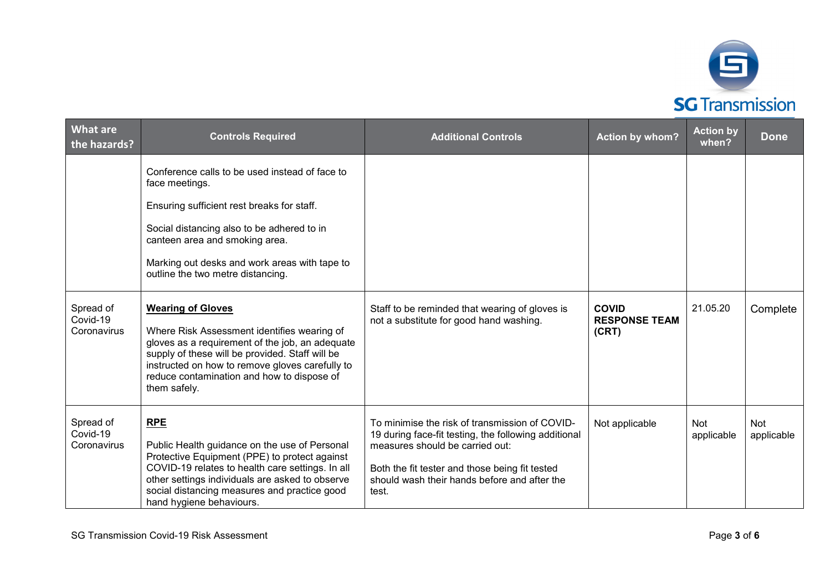

| <b>What are</b><br>the hazards?      | <b>Controls Required</b>                                                                                                                                                                                                                                                                        | <b>Additional Controls</b>                                                                                                                                                                                                                           | <b>Action by whom?</b>                        | <b>Action by</b><br>when? | <b>Done</b>              |
|--------------------------------------|-------------------------------------------------------------------------------------------------------------------------------------------------------------------------------------------------------------------------------------------------------------------------------------------------|------------------------------------------------------------------------------------------------------------------------------------------------------------------------------------------------------------------------------------------------------|-----------------------------------------------|---------------------------|--------------------------|
|                                      | Conference calls to be used instead of face to<br>face meetings.                                                                                                                                                                                                                                |                                                                                                                                                                                                                                                      |                                               |                           |                          |
|                                      | Ensuring sufficient rest breaks for staff.                                                                                                                                                                                                                                                      |                                                                                                                                                                                                                                                      |                                               |                           |                          |
|                                      | Social distancing also to be adhered to in<br>canteen area and smoking area.                                                                                                                                                                                                                    |                                                                                                                                                                                                                                                      |                                               |                           |                          |
|                                      | Marking out desks and work areas with tape to<br>outline the two metre distancing.                                                                                                                                                                                                              |                                                                                                                                                                                                                                                      |                                               |                           |                          |
| Spread of<br>Covid-19<br>Coronavirus | <b>Wearing of Gloves</b><br>Where Risk Assessment identifies wearing of<br>gloves as a requirement of the job, an adequate<br>supply of these will be provided. Staff will be<br>instructed on how to remove gloves carefully to<br>reduce contamination and how to dispose of<br>them safely.  | Staff to be reminded that wearing of gloves is<br>not a substitute for good hand washing.                                                                                                                                                            | <b>COVID</b><br><b>RESPONSE TEAM</b><br>(CRT) | 21.05.20                  | Complete                 |
| Spread of<br>Covid-19<br>Coronavirus | <b>RPE</b><br>Public Health guidance on the use of Personal<br>Protective Equipment (PPE) to protect against<br>COVID-19 relates to health care settings. In all<br>other settings individuals are asked to observe<br>social distancing measures and practice good<br>hand hygiene behaviours. | To minimise the risk of transmission of COVID-<br>19 during face-fit testing, the following additional<br>measures should be carried out:<br>Both the fit tester and those being fit tested<br>should wash their hands before and after the<br>test. | Not applicable                                | Not<br>applicable         | <b>Not</b><br>applicable |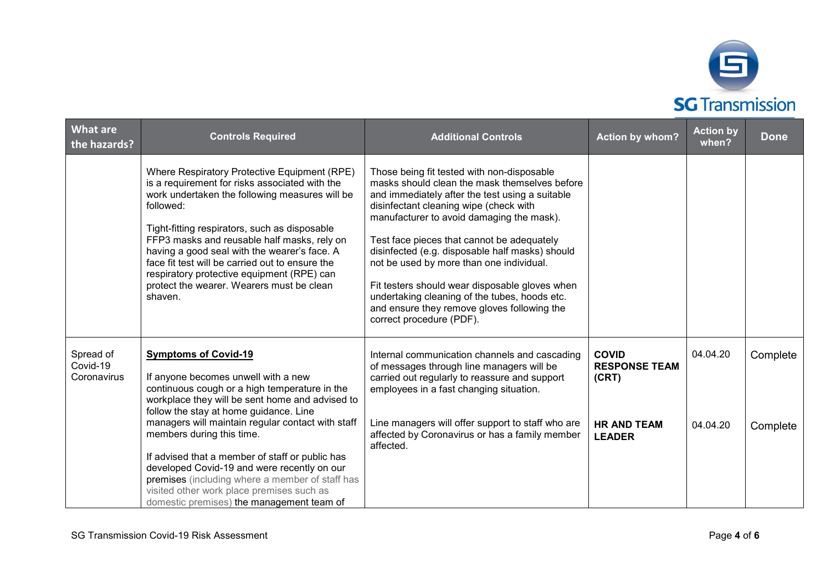

| <b>What are</b><br>the hazards?      | <b>Controls Required</b>                                                                                                                                                                                                                                                                                                                                                                                                                                               | <b>Additional Controls</b>                                                                                                                                                                                                                                                                                                                                                                                                                                                                                                                                       | <b>Action by whom?</b>                        | <b>Action by</b><br>when? | <b>Done</b> |
|--------------------------------------|------------------------------------------------------------------------------------------------------------------------------------------------------------------------------------------------------------------------------------------------------------------------------------------------------------------------------------------------------------------------------------------------------------------------------------------------------------------------|------------------------------------------------------------------------------------------------------------------------------------------------------------------------------------------------------------------------------------------------------------------------------------------------------------------------------------------------------------------------------------------------------------------------------------------------------------------------------------------------------------------------------------------------------------------|-----------------------------------------------|---------------------------|-------------|
|                                      | Where Respiratory Protective Equipment (RPE)<br>is a requirement for risks associated with the<br>work undertaken the following measures will be<br>followed:<br>Tight-fitting respirators, such as disposable<br>FFP3 masks and reusable half masks, rely on<br>having a good seal with the wearer's face. A<br>face fit test will be carried out to ensure the<br>respiratory protective equipment (RPE) can<br>protect the wearer. Wearers must be clean<br>shaven. | Those being fit tested with non-disposable<br>masks should clean the mask themselves before<br>and immediately after the test using a suitable<br>disinfectant cleaning wipe (check with<br>manufacturer to avoid damaging the mask).<br>Test face pieces that cannot be adequately<br>disinfected (e.g. disposable half masks) should<br>not be used by more than one individual.<br>Fit testers should wear disposable gloves when<br>undertaking cleaning of the tubes, hoods etc.<br>and ensure they remove gloves following the<br>correct procedure (PDF). |                                               |                           |             |
| Spread of<br>Covid-19<br>Coronavirus | <b>Symptoms of Covid-19</b><br>If anyone becomes unwell with a new<br>continuous cough or a high temperature in the<br>workplace they will be sent home and advised to<br>follow the stay at home guidance. Line                                                                                                                                                                                                                                                       | Internal communication channels and cascading<br>of messages through line managers will be<br>carried out regularly to reassure and support<br>employees in a fast changing situation.                                                                                                                                                                                                                                                                                                                                                                           | <b>COVID</b><br><b>RESPONSE TEAM</b><br>(CRT) | 04.04.20                  | Complete    |
|                                      | managers will maintain regular contact with staff<br>members during this time.<br>If advised that a member of staff or public has<br>developed Covid-19 and were recently on our<br>premises (including where a member of staff has<br>visited other work place premises such as<br>domestic premises) the management team of                                                                                                                                          | Line managers will offer support to staff who are<br>affected by Coronavirus or has a family member<br>affected.                                                                                                                                                                                                                                                                                                                                                                                                                                                 | <b>HR AND TEAM</b><br><b>LEADER</b>           | 04.04.20                  | Complete    |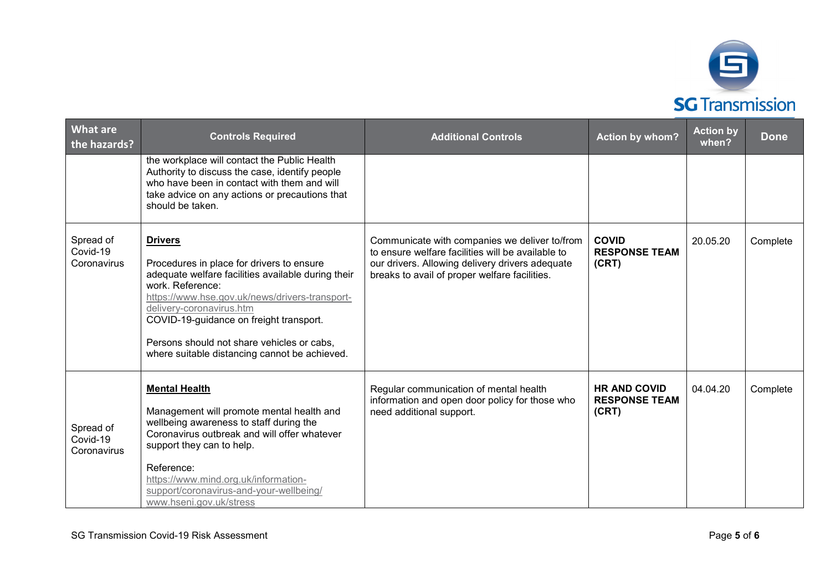

| <b>What are</b><br>the hazards?      | <b>Controls Required</b>                                                                                                                                                                                                                                                                                                                                      | <b>Additional Controls</b>                                                                                                                                                                             | <b>Action by whom?</b>                               | <b>Action by</b><br>when? | <b>Done</b> |
|--------------------------------------|---------------------------------------------------------------------------------------------------------------------------------------------------------------------------------------------------------------------------------------------------------------------------------------------------------------------------------------------------------------|--------------------------------------------------------------------------------------------------------------------------------------------------------------------------------------------------------|------------------------------------------------------|---------------------------|-------------|
|                                      | the workplace will contact the Public Health<br>Authority to discuss the case, identify people<br>who have been in contact with them and will<br>take advice on any actions or precautions that<br>should be taken.                                                                                                                                           |                                                                                                                                                                                                        |                                                      |                           |             |
| Spread of<br>Covid-19<br>Coronavirus | <b>Drivers</b><br>Procedures in place for drivers to ensure<br>adequate welfare facilities available during their<br>work. Reference:<br>https://www.hse.gov.uk/news/drivers-transport-<br>delivery-coronavirus.htm<br>COVID-19-guidance on freight transport.<br>Persons should not share vehicles or cabs,<br>where suitable distancing cannot be achieved. | Communicate with companies we deliver to/from<br>to ensure welfare facilities will be available to<br>our drivers. Allowing delivery drivers adequate<br>breaks to avail of proper welfare facilities. | <b>COVID</b><br><b>RESPONSE TEAM</b><br>(CRT)        | 20.05.20                  | Complete    |
| Spread of<br>Covid-19<br>Coronavirus | <b>Mental Health</b><br>Management will promote mental health and<br>wellbeing awareness to staff during the<br>Coronavirus outbreak and will offer whatever<br>support they can to help.<br>Reference:<br>https://www.mind.org.uk/information-<br>support/coronavirus-and-your-wellbeing/<br>www.hseni.gov.uk/stress                                         | Regular communication of mental health<br>information and open door policy for those who<br>need additional support.                                                                                   | <b>HR AND COVID</b><br><b>RESPONSE TEAM</b><br>(CRT) | 04.04.20                  | Complete    |